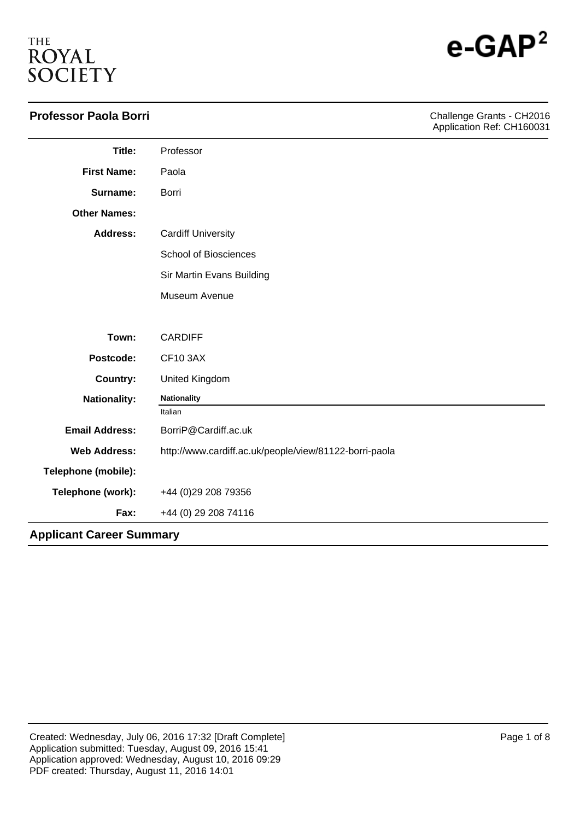# **THE** ROYAL<br>SOCIETY

| <b>Professor Paola Borri</b>    |                                                        | Challenge Grants - CH2016<br>Application Ref: CH160031 |
|---------------------------------|--------------------------------------------------------|--------------------------------------------------------|
| Title:                          | Professor                                              |                                                        |
| <b>First Name:</b>              | Paola                                                  |                                                        |
| Surname:                        | Borri                                                  |                                                        |
| <b>Other Names:</b>             |                                                        |                                                        |
| <b>Address:</b>                 | <b>Cardiff University</b>                              |                                                        |
|                                 | <b>School of Biosciences</b>                           |                                                        |
|                                 | Sir Martin Evans Building                              |                                                        |
|                                 | Museum Avenue                                          |                                                        |
| Town:                           | <b>CARDIFF</b>                                         |                                                        |
| Postcode:                       | <b>CF10 3AX</b>                                        |                                                        |
| <b>Country:</b>                 | United Kingdom                                         |                                                        |
| <b>Nationality:</b>             | <b>Nationality</b>                                     |                                                        |
|                                 | Italian                                                |                                                        |
| <b>Email Address:</b>           | BorriP@Cardiff.ac.uk                                   |                                                        |
| <b>Web Address:</b>             | http://www.cardiff.ac.uk/people/view/81122-borri-paola |                                                        |
| Telephone (mobile):             |                                                        |                                                        |
| Telephone (work):               | +44 (0) 29 208 79356                                   |                                                        |
| Fax:                            | +44 (0) 29 208 74116                                   |                                                        |
| <b>Applicant Career Summary</b> |                                                        |                                                        |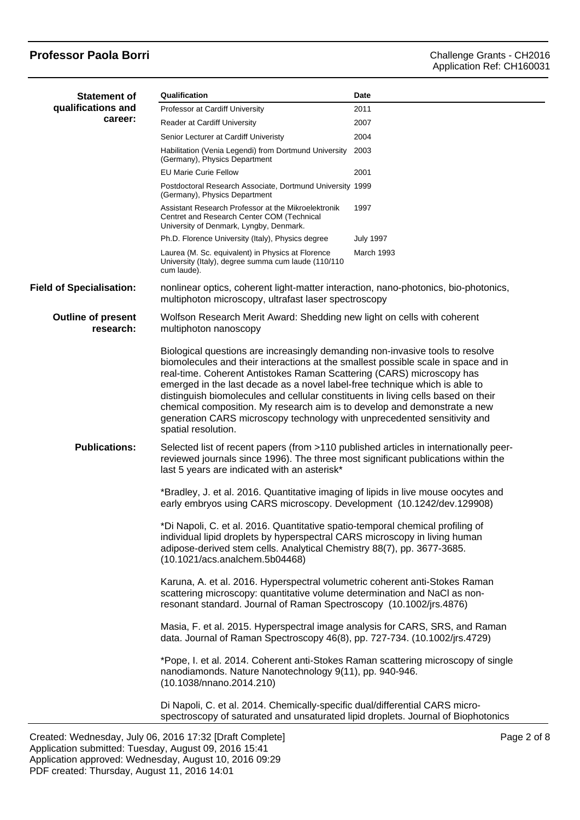| <b>Statement of</b>                    | Qualification                                                                                                                                                                                                                                                                                                                                                                                                                                                                                                                                                                                                                                                                                        | Date             |  |
|----------------------------------------|------------------------------------------------------------------------------------------------------------------------------------------------------------------------------------------------------------------------------------------------------------------------------------------------------------------------------------------------------------------------------------------------------------------------------------------------------------------------------------------------------------------------------------------------------------------------------------------------------------------------------------------------------------------------------------------------------|------------------|--|
| qualifications and<br>career:          | Professor at Cardiff University                                                                                                                                                                                                                                                                                                                                                                                                                                                                                                                                                                                                                                                                      | 2011             |  |
|                                        | Reader at Cardiff University                                                                                                                                                                                                                                                                                                                                                                                                                                                                                                                                                                                                                                                                         | 2007             |  |
|                                        | Senior Lecturer at Cardiff Univeristy                                                                                                                                                                                                                                                                                                                                                                                                                                                                                                                                                                                                                                                                | 2004             |  |
|                                        | Habilitation (Venia Legendi) from Dortmund University 2003<br>(Germany), Physics Department                                                                                                                                                                                                                                                                                                                                                                                                                                                                                                                                                                                                          |                  |  |
|                                        | <b>EU Marie Curie Fellow</b>                                                                                                                                                                                                                                                                                                                                                                                                                                                                                                                                                                                                                                                                         | 2001             |  |
|                                        | Postdoctoral Research Associate, Dortmund University 1999<br>(Germany), Physics Department                                                                                                                                                                                                                                                                                                                                                                                                                                                                                                                                                                                                           |                  |  |
|                                        | Assistant Research Professor at the Mikroelektronik<br>Centret and Research Center COM (Technical<br>University of Denmark, Lyngby, Denmark.                                                                                                                                                                                                                                                                                                                                                                                                                                                                                                                                                         | 1997             |  |
|                                        | Ph.D. Florence University (Italy), Physics degree                                                                                                                                                                                                                                                                                                                                                                                                                                                                                                                                                                                                                                                    | <b>July 1997</b> |  |
|                                        | Laurea (M. Sc. equivalent) in Physics at Florence<br>University (Italy), degree summa cum laude (110/110<br>cum laude).                                                                                                                                                                                                                                                                                                                                                                                                                                                                                                                                                                              | March 1993       |  |
| <b>Field of Specialisation:</b>        | nonlinear optics, coherent light-matter interaction, nano-photonics, bio-photonics,<br>multiphoton microscopy, ultrafast laser spectroscopy                                                                                                                                                                                                                                                                                                                                                                                                                                                                                                                                                          |                  |  |
| <b>Outline of present</b><br>research: | Wolfson Research Merit Award: Shedding new light on cells with coherent<br>multiphoton nanoscopy<br>Biological questions are increasingly demanding non-invasive tools to resolve<br>biomolecules and their interactions at the smallest possible scale in space and in<br>real-time. Coherent Antistokes Raman Scattering (CARS) microscopy has<br>emerged in the last decade as a novel label-free technique which is able to<br>distinguish biomolecules and cellular constituents in living cells based on their<br>chemical composition. My research aim is to develop and demonstrate a new<br>generation CARS microscopy technology with unprecedented sensitivity and<br>spatial resolution. |                  |  |
|                                        |                                                                                                                                                                                                                                                                                                                                                                                                                                                                                                                                                                                                                                                                                                      |                  |  |
| <b>Publications:</b>                   | Selected list of recent papers (from >110 published articles in internationally peer-<br>reviewed journals since 1996). The three most significant publications within the<br>last 5 years are indicated with an asterisk*                                                                                                                                                                                                                                                                                                                                                                                                                                                                           |                  |  |
|                                        | *Bradley, J. et al. 2016. Quantitative imaging of lipids in live mouse oocytes and<br>early embryos using CARS microscopy. Development (10.1242/dev.129908)                                                                                                                                                                                                                                                                                                                                                                                                                                                                                                                                          |                  |  |
|                                        | *Di Napoli, C. et al. 2016. Quantitative spatio-temporal chemical profiling of<br>individual lipid droplets by hyperspectral CARS microscopy in living human<br>adipose-derived stem cells. Analytical Chemistry 88(7), pp. 3677-3685.<br>(10.1021/acs.analchem.5b04468)                                                                                                                                                                                                                                                                                                                                                                                                                             |                  |  |
|                                        | Karuna, A. et al. 2016. Hyperspectral volumetric coherent anti-Stokes Raman<br>scattering microscopy: quantitative volume determination and NaCl as non-<br>resonant standard. Journal of Raman Spectroscopy (10.1002/jrs.4876)                                                                                                                                                                                                                                                                                                                                                                                                                                                                      |                  |  |
|                                        | Masia, F. et al. 2015. Hyperspectral image analysis for CARS, SRS, and Raman<br>data. Journal of Raman Spectroscopy 46(8), pp. 727-734. (10.1002/jrs.4729)                                                                                                                                                                                                                                                                                                                                                                                                                                                                                                                                           |                  |  |
|                                        | *Pope, I. et al. 2014. Coherent anti-Stokes Raman scattering microscopy of single<br>nanodiamonds. Nature Nanotechnology 9(11), pp. 940-946.<br>(10.1038/nnano.2014.210)                                                                                                                                                                                                                                                                                                                                                                                                                                                                                                                             |                  |  |
|                                        | Di Napoli, C. et al. 2014. Chemically-specific dual/differential CARS micro-<br>spectroscopy of saturated and unsaturated lipid droplets. Journal of Biophotonics                                                                                                                                                                                                                                                                                                                                                                                                                                                                                                                                    |                  |  |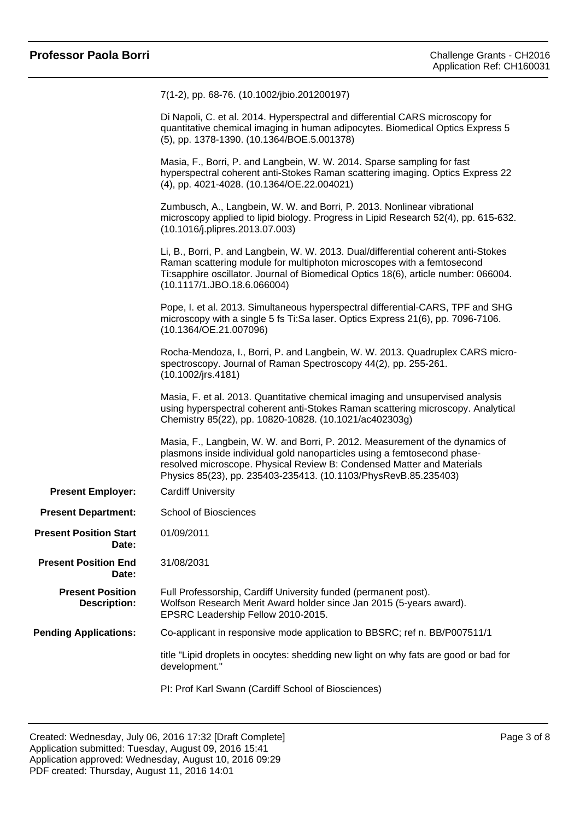|                                                | 7(1-2), pp. 68-76. (10.1002/jbio.201200197)                                                                                                                                                                                                                                                            |
|------------------------------------------------|--------------------------------------------------------------------------------------------------------------------------------------------------------------------------------------------------------------------------------------------------------------------------------------------------------|
|                                                | Di Napoli, C. et al. 2014. Hyperspectral and differential CARS microscopy for<br>quantitative chemical imaging in human adipocytes. Biomedical Optics Express 5<br>(5), pp. 1378-1390. (10.1364/BOE.5.001378)                                                                                          |
|                                                | Masia, F., Borri, P. and Langbein, W. W. 2014. Sparse sampling for fast<br>hyperspectral coherent anti-Stokes Raman scattering imaging. Optics Express 22<br>(4), pp. 4021-4028. (10.1364/OE.22.004021)                                                                                                |
|                                                | Zumbusch, A., Langbein, W. W. and Borri, P. 2013. Nonlinear vibrational<br>microscopy applied to lipid biology. Progress in Lipid Research 52(4), pp. 615-632.<br>(10.1016/j.plipres.2013.07.003)                                                                                                      |
|                                                | Li, B., Borri, P. and Langbein, W. W. 2013. Dual/differential coherent anti-Stokes<br>Raman scattering module for multiphoton microscopes with a femtosecond<br>Ti:sapphire oscillator. Journal of Biomedical Optics 18(6), article number: 066004.<br>(10.1117/1.JBO.18.6.066004)                     |
|                                                | Pope, I. et al. 2013. Simultaneous hyperspectral differential-CARS, TPF and SHG<br>microscopy with a single 5 fs Ti:Sa laser. Optics Express 21(6), pp. 7096-7106.<br>(10.1364/OE.21.007096)                                                                                                           |
|                                                | Rocha-Mendoza, I., Borri, P. and Langbein, W. W. 2013. Quadruplex CARS micro-<br>spectroscopy. Journal of Raman Spectroscopy 44(2), pp. 255-261.<br>(10.1002/jrs.4181)                                                                                                                                 |
|                                                | Masia, F. et al. 2013. Quantitative chemical imaging and unsupervised analysis<br>using hyperspectral coherent anti-Stokes Raman scattering microscopy. Analytical<br>Chemistry 85(22), pp. 10820-10828. (10.1021/ac402303g)                                                                           |
|                                                | Masia, F., Langbein, W. W. and Borri, P. 2012. Measurement of the dynamics of<br>plasmons inside individual gold nanoparticles using a femtosecond phase-<br>resolved microscope. Physical Review B: Condensed Matter and Materials<br>Physics 85(23), pp. 235403-235413. (10.1103/PhysRevB.85.235403) |
| <b>Present Employer:</b>                       | <b>Cardiff University</b>                                                                                                                                                                                                                                                                              |
| <b>Present Department:</b>                     | <b>School of Biosciences</b>                                                                                                                                                                                                                                                                           |
| <b>Present Position Start</b><br>Date:         | 01/09/2011                                                                                                                                                                                                                                                                                             |
| <b>Present Position End</b><br>Date:           | 31/08/2031                                                                                                                                                                                                                                                                                             |
| <b>Present Position</b><br><b>Description:</b> | Full Professorship, Cardiff University funded (permanent post).<br>Wolfson Research Merit Award holder since Jan 2015 (5-years award).<br>EPSRC Leadership Fellow 2010-2015.                                                                                                                           |
| <b>Pending Applications:</b>                   | Co-applicant in responsive mode application to BBSRC; ref n. BB/P007511/1                                                                                                                                                                                                                              |
|                                                | title "Lipid droplets in oocytes: shedding new light on why fats are good or bad for<br>development."                                                                                                                                                                                                  |
|                                                | PI: Prof Karl Swann (Cardiff School of Biosciences)                                                                                                                                                                                                                                                    |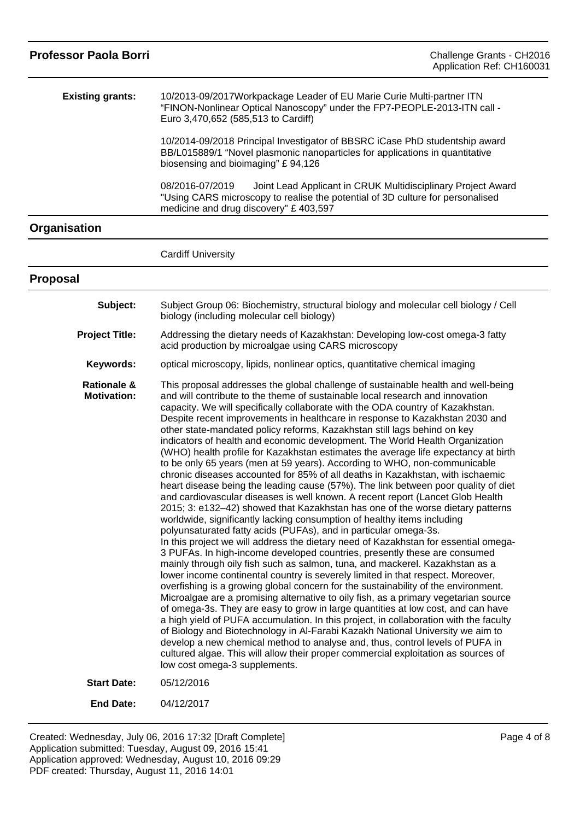| <b>Professor Paola Borri</b>                 | Challenge Grants - CH2016<br>Application Ref: CH160031                                                                                                                                                                                                                                                                                                                                                                                                                                                                                                                                                                                                                                                                                                                                                                                                                                                                                                                                                                                                                                                                                                                                                                                                                                                                                                                                                                                                                                                                                                                                                                                                                                                                                                                                                                                                                                                                                                                                                                                                                                                                                                    |
|----------------------------------------------|-----------------------------------------------------------------------------------------------------------------------------------------------------------------------------------------------------------------------------------------------------------------------------------------------------------------------------------------------------------------------------------------------------------------------------------------------------------------------------------------------------------------------------------------------------------------------------------------------------------------------------------------------------------------------------------------------------------------------------------------------------------------------------------------------------------------------------------------------------------------------------------------------------------------------------------------------------------------------------------------------------------------------------------------------------------------------------------------------------------------------------------------------------------------------------------------------------------------------------------------------------------------------------------------------------------------------------------------------------------------------------------------------------------------------------------------------------------------------------------------------------------------------------------------------------------------------------------------------------------------------------------------------------------------------------------------------------------------------------------------------------------------------------------------------------------------------------------------------------------------------------------------------------------------------------------------------------------------------------------------------------------------------------------------------------------------------------------------------------------------------------------------------------------|
| <b>Existing grants:</b>                      | 10/2013-09/2017 Workpackage Leader of EU Marie Curie Multi-partner ITN<br>"FINON-Nonlinear Optical Nanoscopy" under the FP7-PEOPLE-2013-ITN call -<br>Euro 3,470,652 (585,513 to Cardiff)                                                                                                                                                                                                                                                                                                                                                                                                                                                                                                                                                                                                                                                                                                                                                                                                                                                                                                                                                                                                                                                                                                                                                                                                                                                                                                                                                                                                                                                                                                                                                                                                                                                                                                                                                                                                                                                                                                                                                                 |
|                                              | 10/2014-09/2018 Principal Investigator of BBSRC iCase PhD studentship award<br>BB/L015889/1 "Novel plasmonic nanoparticles for applications in quantitative<br>biosensing and bioimaging" £94,126                                                                                                                                                                                                                                                                                                                                                                                                                                                                                                                                                                                                                                                                                                                                                                                                                                                                                                                                                                                                                                                                                                                                                                                                                                                                                                                                                                                                                                                                                                                                                                                                                                                                                                                                                                                                                                                                                                                                                         |
|                                              | 08/2016-07/2019<br>Joint Lead Applicant in CRUK Multidisciplinary Project Award<br>"Using CARS microscopy to realise the potential of 3D culture for personalised<br>medicine and drug discovery" £403,597                                                                                                                                                                                                                                                                                                                                                                                                                                                                                                                                                                                                                                                                                                                                                                                                                                                                                                                                                                                                                                                                                                                                                                                                                                                                                                                                                                                                                                                                                                                                                                                                                                                                                                                                                                                                                                                                                                                                                |
| Organisation                                 |                                                                                                                                                                                                                                                                                                                                                                                                                                                                                                                                                                                                                                                                                                                                                                                                                                                                                                                                                                                                                                                                                                                                                                                                                                                                                                                                                                                                                                                                                                                                                                                                                                                                                                                                                                                                                                                                                                                                                                                                                                                                                                                                                           |
|                                              | <b>Cardiff University</b>                                                                                                                                                                                                                                                                                                                                                                                                                                                                                                                                                                                                                                                                                                                                                                                                                                                                                                                                                                                                                                                                                                                                                                                                                                                                                                                                                                                                                                                                                                                                                                                                                                                                                                                                                                                                                                                                                                                                                                                                                                                                                                                                 |
| <b>Proposal</b>                              |                                                                                                                                                                                                                                                                                                                                                                                                                                                                                                                                                                                                                                                                                                                                                                                                                                                                                                                                                                                                                                                                                                                                                                                                                                                                                                                                                                                                                                                                                                                                                                                                                                                                                                                                                                                                                                                                                                                                                                                                                                                                                                                                                           |
| Subject:                                     | Subject Group 06: Biochemistry, structural biology and molecular cell biology / Cell<br>biology (including molecular cell biology)                                                                                                                                                                                                                                                                                                                                                                                                                                                                                                                                                                                                                                                                                                                                                                                                                                                                                                                                                                                                                                                                                                                                                                                                                                                                                                                                                                                                                                                                                                                                                                                                                                                                                                                                                                                                                                                                                                                                                                                                                        |
| <b>Project Title:</b>                        | Addressing the dietary needs of Kazakhstan: Developing low-cost omega-3 fatty<br>acid production by microalgae using CARS microscopy                                                                                                                                                                                                                                                                                                                                                                                                                                                                                                                                                                                                                                                                                                                                                                                                                                                                                                                                                                                                                                                                                                                                                                                                                                                                                                                                                                                                                                                                                                                                                                                                                                                                                                                                                                                                                                                                                                                                                                                                                      |
| Keywords:                                    | optical microscopy, lipids, nonlinear optics, quantitative chemical imaging                                                                                                                                                                                                                                                                                                                                                                                                                                                                                                                                                                                                                                                                                                                                                                                                                                                                                                                                                                                                                                                                                                                                                                                                                                                                                                                                                                                                                                                                                                                                                                                                                                                                                                                                                                                                                                                                                                                                                                                                                                                                               |
| <b>Rationale &amp;</b><br><b>Motivation:</b> | This proposal addresses the global challenge of sustainable health and well-being<br>and will contribute to the theme of sustainable local research and innovation<br>capacity. We will specifically collaborate with the ODA country of Kazakhstan.<br>Despite recent improvements in healthcare in response to Kazakhstan 2030 and<br>other state-mandated policy reforms, Kazakhstan still lags behind on key<br>indicators of health and economic development. The World Health Organization<br>(WHO) health profile for Kazakhstan estimates the average life expectancy at birth<br>to be only 65 years (men at 59 years). According to WHO, non-communicable<br>chronic diseases accounted for 85% of all deaths in Kazakhstan, with ischaemic<br>heart disease being the leading cause (57%). The link between poor quality of diet<br>and cardiovascular diseases is well known. A recent report (Lancet Glob Health<br>2015; 3: e132-42) showed that Kazakhstan has one of the worse dietary patterns<br>worldwide, significantly lacking consumption of healthy items including<br>polyunsaturated fatty acids (PUFAs), and in particular omega-3s.<br>In this project we will address the dietary need of Kazakhstan for essential omega-<br>3 PUFAs. In high-income developed countries, presently these are consumed<br>mainly through oily fish such as salmon, tuna, and mackerel. Kazakhstan as a<br>lower income continental country is severely limited in that respect. Moreover,<br>overfishing is a growing global concern for the sustainability of the environment.<br>Microalgae are a promising alternative to oily fish, as a primary vegetarian source<br>of omega-3s. They are easy to grow in large quantities at low cost, and can have<br>a high yield of PUFA accumulation. In this project, in collaboration with the faculty<br>of Biology and Biotechnology in Al-Farabi Kazakh National University we aim to<br>develop a new chemical method to analyse and, thus, control levels of PUFA in<br>cultured algae. This will allow their proper commercial exploitation as sources of<br>low cost omega-3 supplements. |
| <b>Start Date:</b>                           | 05/12/2016                                                                                                                                                                                                                                                                                                                                                                                                                                                                                                                                                                                                                                                                                                                                                                                                                                                                                                                                                                                                                                                                                                                                                                                                                                                                                                                                                                                                                                                                                                                                                                                                                                                                                                                                                                                                                                                                                                                                                                                                                                                                                                                                                |
| <b>End Date:</b>                             | 04/12/2017                                                                                                                                                                                                                                                                                                                                                                                                                                                                                                                                                                                                                                                                                                                                                                                                                                                                                                                                                                                                                                                                                                                                                                                                                                                                                                                                                                                                                                                                                                                                                                                                                                                                                                                                                                                                                                                                                                                                                                                                                                                                                                                                                |

Created: Wednesday, July 06, 2016 17:32 [Draft Complete] Application submitted: Tuesday, August 09, 2016 15:41 Application approved: Wednesday, August 10, 2016 09:29 PDF created: Thursday, August 11, 2016 14:01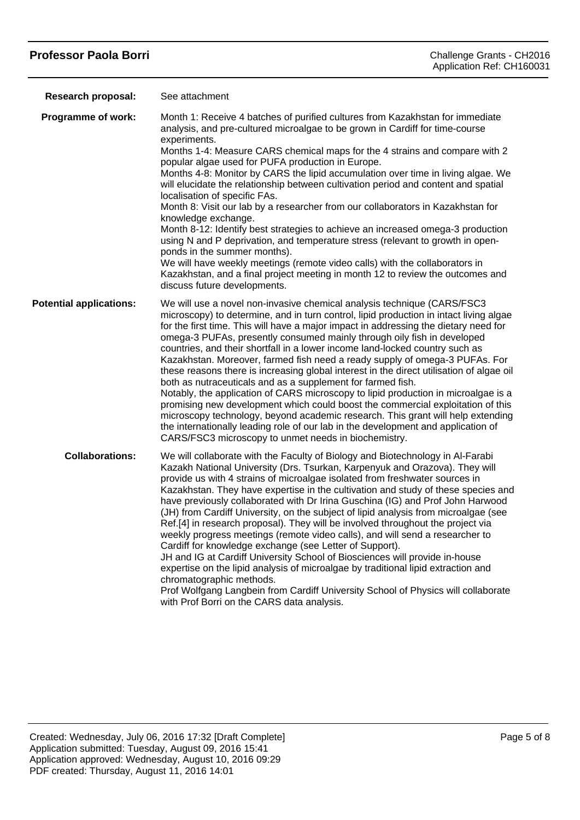# **Professor Paola Borri** Challenge Grants - CH2016

| <b>Research proposal:</b>      | See attachment                                                                                                                                                                                                                                                                                                                                                                                                                                                                                                                                                                                                                                                                                                                                                                                                                                                                                                                                                                                                                                                              |
|--------------------------------|-----------------------------------------------------------------------------------------------------------------------------------------------------------------------------------------------------------------------------------------------------------------------------------------------------------------------------------------------------------------------------------------------------------------------------------------------------------------------------------------------------------------------------------------------------------------------------------------------------------------------------------------------------------------------------------------------------------------------------------------------------------------------------------------------------------------------------------------------------------------------------------------------------------------------------------------------------------------------------------------------------------------------------------------------------------------------------|
| Programme of work:             | Month 1: Receive 4 batches of purified cultures from Kazakhstan for immediate<br>analysis, and pre-cultured microalgae to be grown in Cardiff for time-course<br>experiments.<br>Months 1-4: Measure CARS chemical maps for the 4 strains and compare with 2<br>popular algae used for PUFA production in Europe.<br>Months 4-8: Monitor by CARS the lipid accumulation over time in living algae. We<br>will elucidate the relationship between cultivation period and content and spatial<br>localisation of specific FAs.<br>Month 8: Visit our lab by a researcher from our collaborators in Kazakhstan for<br>knowledge exchange.<br>Month 8-12: Identify best strategies to achieve an increased omega-3 production<br>using N and P deprivation, and temperature stress (relevant to growth in open-<br>ponds in the summer months).<br>We will have weekly meetings (remote video calls) with the collaborators in<br>Kazakhstan, and a final project meeting in month 12 to review the outcomes and<br>discuss future developments.                                |
| <b>Potential applications:</b> | We will use a novel non-invasive chemical analysis technique (CARS/FSC3<br>microscopy) to determine, and in turn control, lipid production in intact living algae<br>for the first time. This will have a major impact in addressing the dietary need for<br>omega-3 PUFAs, presently consumed mainly through oily fish in developed<br>countries, and their shortfall in a lower income land-locked country such as<br>Kazakhstan. Moreover, farmed fish need a ready supply of omega-3 PUFAs. For<br>these reasons there is increasing global interest in the direct utilisation of algae oil<br>both as nutraceuticals and as a supplement for farmed fish.<br>Notably, the application of CARS microscopy to lipid production in microalgae is a<br>promising new development which could boost the commercial exploitation of this<br>microscopy technology, beyond academic research. This grant will help extending<br>the internationally leading role of our lab in the development and application of<br>CARS/FSC3 microscopy to unmet needs in biochemistry.     |
| <b>Collaborations:</b>         | We will collaborate with the Faculty of Biology and Biotechnology in Al-Farabi<br>Kazakh National University (Drs. Tsurkan, Karpenyuk and Orazova). They will<br>provide us with 4 strains of microalgae isolated from freshwater sources in<br>Kazakhstan. They have expertise in the cultivation and study of these species and<br>have previously collaborated with Dr Irina Guschina (IG) and Prof John Harwood<br>(JH) from Cardiff University, on the subject of lipid analysis from microalgae (see<br>Ref.[4] in research proposal). They will be involved throughout the project via<br>weekly progress meetings (remote video calls), and will send a researcher to<br>Cardiff for knowledge exchange (see Letter of Support).<br>JH and IG at Cardiff University School of Biosciences will provide in-house<br>expertise on the lipid analysis of microalgae by traditional lipid extraction and<br>chromatographic methods.<br>Prof Wolfgang Langbein from Cardiff University School of Physics will collaborate<br>with Prof Borri on the CARS data analysis. |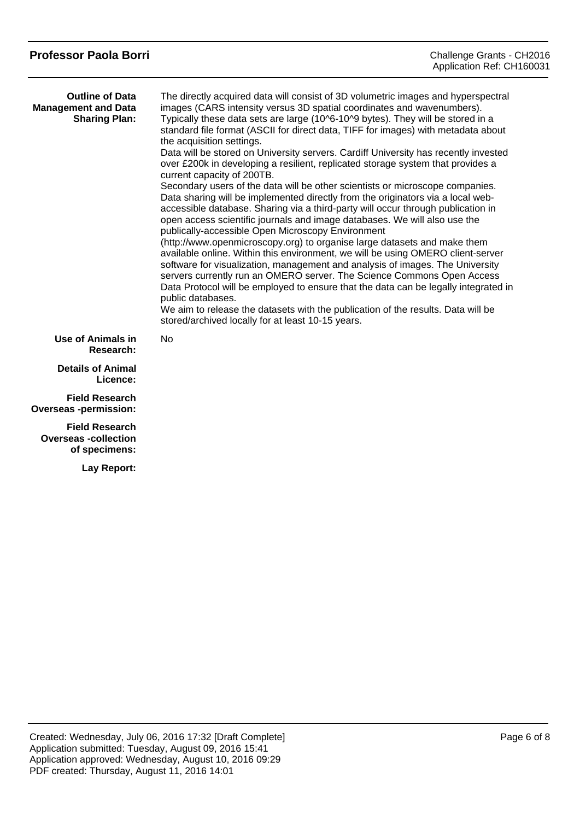| <b>Professor Paola Borri</b>                                                 | Challenge Grants - CH2016<br>Application Ref: CH160031                                                                                                                                                                                                                                                                                                                                                                                                                                                                                                                                                                                                                                                                                                                                                                                                                                                                                                                                                                                                                                                                                                                                                                                                                                                                                                                                                                                                                                                                                            |
|------------------------------------------------------------------------------|---------------------------------------------------------------------------------------------------------------------------------------------------------------------------------------------------------------------------------------------------------------------------------------------------------------------------------------------------------------------------------------------------------------------------------------------------------------------------------------------------------------------------------------------------------------------------------------------------------------------------------------------------------------------------------------------------------------------------------------------------------------------------------------------------------------------------------------------------------------------------------------------------------------------------------------------------------------------------------------------------------------------------------------------------------------------------------------------------------------------------------------------------------------------------------------------------------------------------------------------------------------------------------------------------------------------------------------------------------------------------------------------------------------------------------------------------------------------------------------------------------------------------------------------------|
| <b>Outline of Data</b><br><b>Management and Data</b><br><b>Sharing Plan:</b> | The directly acquired data will consist of 3D volumetric images and hyperspectral<br>images (CARS intensity versus 3D spatial coordinates and wavenumbers).<br>Typically these data sets are large (10^6-10^9 bytes). They will be stored in a<br>standard file format (ASCII for direct data, TIFF for images) with metadata about<br>the acquisition settings.<br>Data will be stored on University servers. Cardiff University has recently invested<br>over £200k in developing a resilient, replicated storage system that provides a<br>current capacity of 200TB.<br>Secondary users of the data will be other scientists or microscope companies.<br>Data sharing will be implemented directly from the originators via a local web-<br>accessible database. Sharing via a third-party will occur through publication in<br>open access scientific journals and image databases. We will also use the<br>publically-accessible Open Microscopy Environment<br>(http://www.openmicroscopy.org) to organise large datasets and make them<br>available online. Within this environment, we will be using OMERO client-server<br>software for visualization, management and analysis of images. The University<br>servers currently run an OMERO server. The Science Commons Open Access<br>Data Protocol will be employed to ensure that the data can be legally integrated in<br>public databases.<br>We aim to release the datasets with the publication of the results. Data will be<br>stored/archived locally for at least 10-15 years. |
| Use of Animals in<br>Research:                                               | <b>No</b>                                                                                                                                                                                                                                                                                                                                                                                                                                                                                                                                                                                                                                                                                                                                                                                                                                                                                                                                                                                                                                                                                                                                                                                                                                                                                                                                                                                                                                                                                                                                         |
| <b>Details of Animal</b><br>Licence:                                         |                                                                                                                                                                                                                                                                                                                                                                                                                                                                                                                                                                                                                                                                                                                                                                                                                                                                                                                                                                                                                                                                                                                                                                                                                                                                                                                                                                                                                                                                                                                                                   |
| <b>Field Research</b><br><b>Overseas-permission:</b>                         |                                                                                                                                                                                                                                                                                                                                                                                                                                                                                                                                                                                                                                                                                                                                                                                                                                                                                                                                                                                                                                                                                                                                                                                                                                                                                                                                                                                                                                                                                                                                                   |
| <b>Field Research</b><br><b>Overseas-collection</b><br>of specimens:         |                                                                                                                                                                                                                                                                                                                                                                                                                                                                                                                                                                                                                                                                                                                                                                                                                                                                                                                                                                                                                                                                                                                                                                                                                                                                                                                                                                                                                                                                                                                                                   |
| Lay Report:                                                                  |                                                                                                                                                                                                                                                                                                                                                                                                                                                                                                                                                                                                                                                                                                                                                                                                                                                                                                                                                                                                                                                                                                                                                                                                                                                                                                                                                                                                                                                                                                                                                   |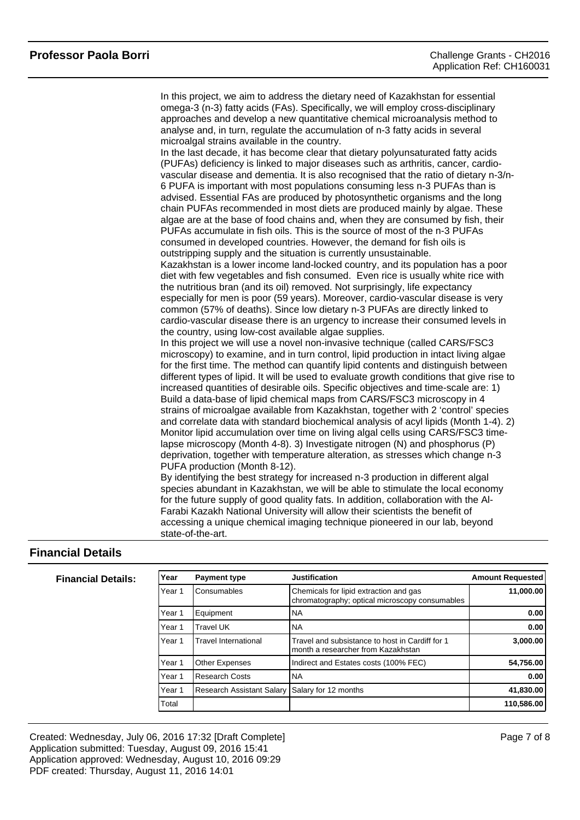In this project, we aim to address the dietary need of Kazakhstan for essential omega-3 (n-3) fatty acids (FAs). Specifically, we will employ cross-disciplinary approaches and develop a new quantitative chemical microanalysis method to analyse and, in turn, regulate the accumulation of n-3 fatty acids in several microalgal strains available in the country. In the last decade, it has become clear that dietary polyunsaturated fatty acids (PUFAs) deficiency is linked to major diseases such as arthritis, cancer, cardiovascular disease and dementia. It is also recognised that the ratio of dietary n-3/n-6 PUFA is important with most populations consuming less n-3 PUFAs than is advised. Essential FAs are produced by photosynthetic organisms and the long chain PUFAs recommended in most diets are produced mainly by algae. These algae are at the base of food chains and, when they are consumed by fish, their PUFAs accumulate in fish oils. This is the source of most of the n-3 PUFAs consumed in developed countries. However, the demand for fish oils is outstripping supply and the situation is currently unsustainable. Kazakhstan is a lower income land-locked country, and its population has a poor diet with few vegetables and fish consumed. Even rice is usually white rice with the nutritious bran (and its oil) removed. Not surprisingly, life expectancy especially for men is poor (59 years). Moreover, cardio-vascular disease is very common (57% of deaths). Since low dietary n-3 PUFAs are directly linked to cardio-vascular disease there is an urgency to increase their consumed levels in the country, using low-cost available algae supplies. In this project we will use a novel non-invasive technique (called CARS/FSC3 microscopy) to examine, and in turn control, lipid production in intact living algae for the first time. The method can quantify lipid contents and distinguish between different types of lipid. It will be used to evaluate growth conditions that give rise to increased quantities of desirable oils. Specific objectives and time-scale are: 1) Build a data-base of lipid chemical maps from CARS/FSC3 microscopy in 4 strains of microalgae available from Kazakhstan, together with 2 'control' species and correlate data with standard biochemical analysis of acyl lipids (Month 1-4). 2) Monitor lipid accumulation over time on living algal cells using CARS/FSC3 timelapse microscopy (Month 4-8). 3) Investigate nitrogen (N) and phosphorus (P) deprivation, together with temperature alteration, as stresses which change n-3 PUFA production (Month 8-12). By identifying the best strategy for increased n-3 production in different algal species abundant in Kazakhstan, we will be able to stimulate the local economy for the future supply of good quality fats. In addition, collaboration with the Al-Farabi Kazakh National University will allow their scientists the benefit of accessing a unique chemical imaging technique pioneered in our lab, beyond state-of-the-art.

## **Financial Details**

| <b>Financial Details:</b> | Year   | <b>Payment type</b>              | <b>Justification</b>                                                                     | <b>Amount Requested</b> |
|---------------------------|--------|----------------------------------|------------------------------------------------------------------------------------------|-------------------------|
|                           | Year 1 | Consumables                      | Chemicals for lipid extraction and gas<br>chromatography; optical microscopy consumables | 11,000.00               |
|                           | Year 1 | Equipment                        | INA                                                                                      | 0.00                    |
|                           | Year 1 | <b>Travel UK</b>                 | INA                                                                                      | 0.00                    |
|                           | Year 1 | <b>Travel International</b>      | Travel and subsistance to host in Cardiff for 1<br>Imonth a researcher from Kazakhstan   | 3.000.00                |
|                           | Year 1 | <b>Other Expenses</b>            | Indirect and Estates costs (100% FEC)                                                    | 54,756.00               |
|                           | Year 1 | Research Costs                   | INA                                                                                      | 0.00                    |
|                           | Year 1 | <b>Research Assistant Salary</b> | Salary for 12 months                                                                     | 41,830.00               |
|                           | Total  |                                  |                                                                                          | 110,586.00              |

Created: Wednesday, July 06, 2016 17:32 [Draft Complete] Application submitted: Tuesday, August 09, 2016 15:41 Application approved: Wednesday, August 10, 2016 09:29 PDF created: Thursday, August 11, 2016 14:01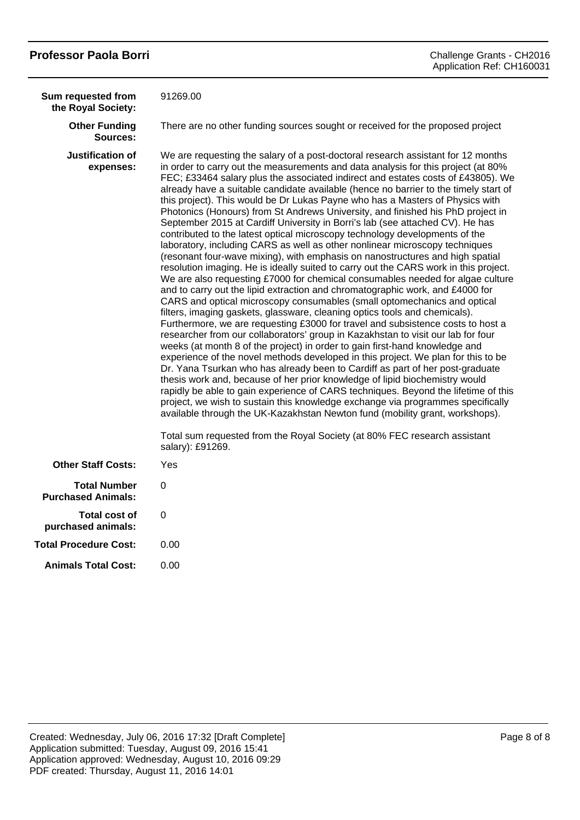| <b>Professor Paola Borri</b>                     | Challenge Grants - CH2016<br>Application Ref: CH160031                                                                                                                                                                                                                                                                                                                                                                                                                                                                                                                                                                                                                                                                                                                                                                                                                                                                                                                                                                                                                                                                                                                                                                                                                                                                                                                                                                                                                                                                                                                                                                                                                                                                                                                                                                                                                                                                                                                                                                                                                                                                                          |
|--------------------------------------------------|-------------------------------------------------------------------------------------------------------------------------------------------------------------------------------------------------------------------------------------------------------------------------------------------------------------------------------------------------------------------------------------------------------------------------------------------------------------------------------------------------------------------------------------------------------------------------------------------------------------------------------------------------------------------------------------------------------------------------------------------------------------------------------------------------------------------------------------------------------------------------------------------------------------------------------------------------------------------------------------------------------------------------------------------------------------------------------------------------------------------------------------------------------------------------------------------------------------------------------------------------------------------------------------------------------------------------------------------------------------------------------------------------------------------------------------------------------------------------------------------------------------------------------------------------------------------------------------------------------------------------------------------------------------------------------------------------------------------------------------------------------------------------------------------------------------------------------------------------------------------------------------------------------------------------------------------------------------------------------------------------------------------------------------------------------------------------------------------------------------------------------------------------|
| Sum requested from<br>the Royal Society:         | 91269.00                                                                                                                                                                                                                                                                                                                                                                                                                                                                                                                                                                                                                                                                                                                                                                                                                                                                                                                                                                                                                                                                                                                                                                                                                                                                                                                                                                                                                                                                                                                                                                                                                                                                                                                                                                                                                                                                                                                                                                                                                                                                                                                                        |
| <b>Other Funding</b><br>Sources:                 | There are no other funding sources sought or received for the proposed project                                                                                                                                                                                                                                                                                                                                                                                                                                                                                                                                                                                                                                                                                                                                                                                                                                                                                                                                                                                                                                                                                                                                                                                                                                                                                                                                                                                                                                                                                                                                                                                                                                                                                                                                                                                                                                                                                                                                                                                                                                                                  |
| Justification of<br>expenses:                    | We are requesting the salary of a post-doctoral research assistant for 12 months<br>in order to carry out the measurements and data analysis for this project (at 80%<br>FEC; £33464 salary plus the associated indirect and estates costs of £43805). We<br>already have a suitable candidate available (hence no barrier to the timely start of<br>this project). This would be Dr Lukas Payne who has a Masters of Physics with<br>Photonics (Honours) from St Andrews University, and finished his PhD project in<br>September 2015 at Cardiff University in Borri's lab (see attached CV). He has<br>contributed to the latest optical microscopy technology developments of the<br>laboratory, including CARS as well as other nonlinear microscopy techniques<br>(resonant four-wave mixing), with emphasis on nanostructures and high spatial<br>resolution imaging. He is ideally suited to carry out the CARS work in this project.<br>We are also requesting £7000 for chemical consumables needed for algae culture<br>and to carry out the lipid extraction and chromatographic work, and £4000 for<br>CARS and optical microscopy consumables (small optomechanics and optical<br>filters, imaging gaskets, glassware, cleaning optics tools and chemicals).<br>Furthermore, we are requesting £3000 for travel and subsistence costs to host a<br>researcher from our collaborators' group in Kazakhstan to visit our lab for four<br>weeks (at month 8 of the project) in order to gain first-hand knowledge and<br>experience of the novel methods developed in this project. We plan for this to be<br>Dr. Yana Tsurkan who has already been to Cardiff as part of her post-graduate<br>thesis work and, because of her prior knowledge of lipid biochemistry would<br>rapidly be able to gain experience of CARS techniques. Beyond the lifetime of this<br>project, we wish to sustain this knowledge exchange via programmes specifically<br>available through the UK-Kazakhstan Newton fund (mobility grant, workshops).<br>Total sum requested from the Royal Society (at 80% FEC research assistant<br>salary): £91269. |
| <b>Other Staff Costs:</b>                        | Yes                                                                                                                                                                                                                                                                                                                                                                                                                                                                                                                                                                                                                                                                                                                                                                                                                                                                                                                                                                                                                                                                                                                                                                                                                                                                                                                                                                                                                                                                                                                                                                                                                                                                                                                                                                                                                                                                                                                                                                                                                                                                                                                                             |
| <b>Total Number</b><br><b>Purchased Animals:</b> | 0                                                                                                                                                                                                                                                                                                                                                                                                                                                                                                                                                                                                                                                                                                                                                                                                                                                                                                                                                                                                                                                                                                                                                                                                                                                                                                                                                                                                                                                                                                                                                                                                                                                                                                                                                                                                                                                                                                                                                                                                                                                                                                                                               |
| <b>Total cost of</b><br>purchased animals:       | 0                                                                                                                                                                                                                                                                                                                                                                                                                                                                                                                                                                                                                                                                                                                                                                                                                                                                                                                                                                                                                                                                                                                                                                                                                                                                                                                                                                                                                                                                                                                                                                                                                                                                                                                                                                                                                                                                                                                                                                                                                                                                                                                                               |
| <b>Total Procedure Cost:</b>                     | 0.00                                                                                                                                                                                                                                                                                                                                                                                                                                                                                                                                                                                                                                                                                                                                                                                                                                                                                                                                                                                                                                                                                                                                                                                                                                                                                                                                                                                                                                                                                                                                                                                                                                                                                                                                                                                                                                                                                                                                                                                                                                                                                                                                            |
| <b>Animals Total Cost:</b>                       | 0.00                                                                                                                                                                                                                                                                                                                                                                                                                                                                                                                                                                                                                                                                                                                                                                                                                                                                                                                                                                                                                                                                                                                                                                                                                                                                                                                                                                                                                                                                                                                                                                                                                                                                                                                                                                                                                                                                                                                                                                                                                                                                                                                                            |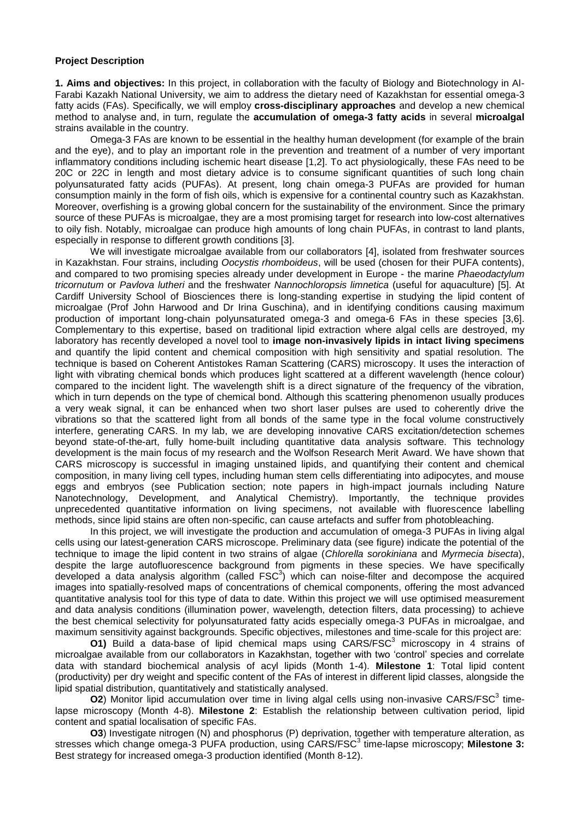#### **Project Description**

**1. Aims and objectives:** In this project, in collaboration with the faculty of Biology and Biotechnology in Al-Farabi Kazakh National University, we aim to address the dietary need of Kazakhstan for essential omega-3 fatty acids (FAs). Specifically, we will employ **cross-disciplinary approaches** and develop a new chemical method to analyse and, in turn, regulate the **accumulation of omega-3 fatty acids** in several **microalgal** strains available in the country.

Omega-3 FAs are known to be essential in the healthy human development (for example of the brain and the eye), and to play an important role in the prevention and treatment of a number of very important inflammatory conditions including ischemic heart disease [1,2]. To act physiologically, these FAs need to be 20C or 22C in length and most dietary advice is to consume significant quantities of such long chain polyunsaturated fatty acids (PUFAs). At present, long chain omega-3 PUFAs are provided for human consumption mainly in the form of fish oils, which is expensive for a continental country such as Kazakhstan. Moreover, overfishing is a growing global concern for the sustainability of the environment. Since the primary source of these PUFAs is microalgae, they are a most promising target for research into low-cost alternatives to oily fish. Notably, microalgae can produce high amounts of long chain PUFAs, in contrast to land plants, especially in response to different growth conditions [3].

We will investigate microalgae available from our collaborators [4], isolated from freshwater sources in Kazakhstan. Four strains, including *Oocystis rhomboideus*, will be used (chosen for their PUFA contents), and compared to two promising species already under development in Europe - the marine *Phaeodactylum tricornutum* or *Pavlova lutheri* and the freshwater *Nannochloropsis limnetica* (useful for aquaculture) [5]. At Cardiff University School of Biosciences there is long-standing expertise in studying the lipid content of microalgae (Prof John Harwood and Dr Irina Guschina), and in identifying conditions causing maximum production of important long-chain polyunsaturated omega-3 and omega-6 FAs in these species [3,6]. Complementary to this expertise, based on traditional lipid extraction where algal cells are destroyed, my laboratory has recently developed a novel tool to **image non-invasively lipids in intact living specimens** and quantify the lipid content and chemical composition with high sensitivity and spatial resolution. The technique is based on Coherent Antistokes Raman Scattering (CARS) microscopy. It uses the interaction of light with vibrating chemical bonds which produces light scattered at a different wavelength (hence colour) compared to the incident light. The wavelength shift is a direct signature of the frequency of the vibration, which in turn depends on the type of chemical bond. Although this scattering phenomenon usually produces a very weak signal, it can be enhanced when two short laser pulses are used to coherently drive the vibrations so that the scattered light from all bonds of the same type in the focal volume constructively interfere, generating CARS. In my lab, we are developing innovative CARS excitation/detection schemes beyond state-of-the-art, fully home-built including quantitative data analysis software. This technology development is the main focus of my research and the Wolfson Research Merit Award. We have shown that CARS microscopy is successful in imaging unstained lipids, and quantifying their content and chemical composition, in many living cell types, including human stem cells differentiating into adipocytes, and mouse eggs and embryos (see Publication section; note papers in high-impact journals including Nature Nanotechnology, Development, and Analytical Chemistry). Importantly, the technique provides unprecedented quantitative information on living specimens, not available with fluorescence labelling methods, since lipid stains are often non-specific, can cause artefacts and suffer from photobleaching.

In this project, we will investigate the production and accumulation of omega-3 PUFAs in living algal cells using our latest-generation CARS microscope. Preliminary data (see figure) indicate the potential of the technique to image the lipid content in two strains of algae (*Chlorella sorokiniana* and *Myrmecia bisecta*), despite the large autofluorescence background from pigments in these species. We have specifically developed a data analysis algorithm (called  $FSC<sup>3</sup>$ ) which can noise-filter and decompose the acquired images into spatially-resolved maps of concentrations of chemical components, offering the most advanced quantitative analysis tool for this type of data to date. Within this project we will use optimised measurement and data analysis conditions (illumination power, wavelength, detection filters, data processing) to achieve the best chemical selectivity for polyunsaturated fatty acids especially omega-3 PUFAs in microalgae, and maximum sensitivity against backgrounds. Specific objectives, milestones and time-scale for this project are:

**O1)** Build a data-base of lipid chemical maps using CARS/FSC<sup>3</sup> microscopy in 4 strains of microalgae available from our collaborators in Kazakhstan, together with two 'control' species and correlate data with standard biochemical analysis of acyl lipids (Month 1-4). **Milestone 1**: Total lipid content (productivity) per dry weight and specific content of the FAs of interest in different lipid classes, alongside the lipid spatial distribution, quantitatively and statistically analysed.

**O2**) Monitor lipid accumulation over time in living algal cells using non-invasive CARS/FSC<sup>3</sup> timelapse microscopy (Month 4-8). **Milestone 2**: Establish the relationship between cultivation period, lipid content and spatial localisation of specific FAs.

**O3**) Investigate nitrogen (N) and phosphorus (P) deprivation, together with temperature alteration, as stresses which change omega-3 PUFA production, using CARS/FSC<sup>3</sup> time-lapse microscopy; Milestone 3: Best strategy for increased omega-3 production identified (Month 8-12).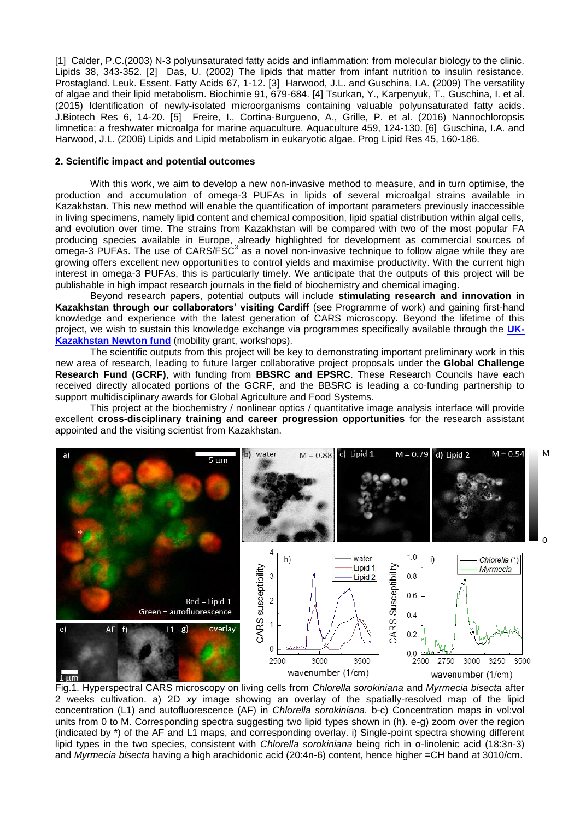[1] Calder, P.C.(2003) N-3 polyunsaturated fatty acids and inflammation: from molecular biology to the clinic. Lipids 38, 343-352. [2] Das, U. (2002) The lipids that matter from infant nutrition to insulin resistance. Prostagland. Leuk. Essent. Fatty Acids 67, 1-12. [3] Harwood, J.L. and Guschina, I.A. (2009) The versatility of algae and their lipid metabolism. Biochimie 91, 679-684. [4] Tsurkan, Y., Karpenyuk, T., Guschina, I. et al. (2015) Identification of newly-isolated microorganisms containing valuable polyunsaturated fatty acids. J.Biotech Res 6, 14-20. [5] Freire, I., Cortina-Burgueno, A., Grille, P. et al. (2016) Nannochloropsis limnetica: a freshwater microalga for marine aquaculture. Aquaculture 459, 124-130. [6] Guschina, I.A. and Harwood, J.L. (2006) Lipids and Lipid metabolism in eukaryotic algae. Prog Lipid Res 45, 160-186.

#### **2. Scientific impact and potential outcomes**

With this work, we aim to develop a new non-invasive method to measure, and in turn optimise, the production and accumulation of omega-3 PUFAs in lipids of several microalgal strains available in Kazakhstan. This new method will enable the quantification of important parameters previously inaccessible in living specimens, namely lipid content and chemical composition, lipid spatial distribution within algal cells, and evolution over time. The strains from Kazakhstan will be compared with two of the most popular FA producing species available in Europe, already highlighted for development as commercial sources of omega-3 PUFAs. The use of CARS/FSC<sup>3</sup> as a novel non-invasive technique to follow algae while they are growing offers excellent new opportunities to control yields and maximise productivity. With the current high interest in omega-3 PUFAs, this is particularly timely. We anticipate that the outputs of this project will be publishable in high impact research journals in the field of biochemistry and chemical imaging.

Beyond research papers, potential outputs will include **stimulating research and innovation in Kazakhstan through our collaborators' visiting Cardiff** (see Programme of work) and gaining first-hand knowledge and experience with the latest generation of CARS microscopy. Beyond the lifetime of this project, we wish to sustain this knowledge exchange via programmes specifically available through the **[UK-](http://www.newtonfund.ac.uk/about/about-partnering-countries/kazakhstan/)[Kazakhstan Newton fund](http://www.newtonfund.ac.uk/about/about-partnering-countries/kazakhstan/)** (mobility grant, workshops).

The scientific outputs from this project will be key to demonstrating important preliminary work in this new area of research, leading to future larger collaborative project proposals under the **Global Challenge Research Fund (GCRF)**, with funding from **BBSRC and EPSRC**. These Research Councils have each received directly allocated portions of the GCRF, and the BBSRC is leading a co-funding partnership to support multidisciplinary awards for Global Agriculture and Food Systems.

This project at the biochemistry / nonlinear optics / quantitative image analysis interface will provide excellent **cross-disciplinary training and career progression opportunities** for the research assistant appointed and the visiting scientist from Kazakhstan.

M



Fig.1. Hyperspectral CARS microscopy on living cells from *Chlorella sorokiniana* and *Myrmecia bisecta* after 2 weeks cultivation. a) 2D *xy* image showing an overlay of the spatially-resolved map of the lipid concentration (L1) and autofluorescence (AF) in *Chlorella sorokiniana.* b-c) Concentration maps in vol:vol units from 0 to M. Corresponding spectra suggesting two lipid types shown in (h), e-g) zoom over the region (indicated by \*) of the AF and L1 maps, and corresponding overlay. i) Single-point spectra showing different lipid types in the two species, consistent with *Chlorella sorokiniana* being rich in α-linolenic acid (18:3n-3) and *Myrmecia bisecta* having a high arachidonic acid (20:4n-6) content, hence higher =CH band at 3010/cm.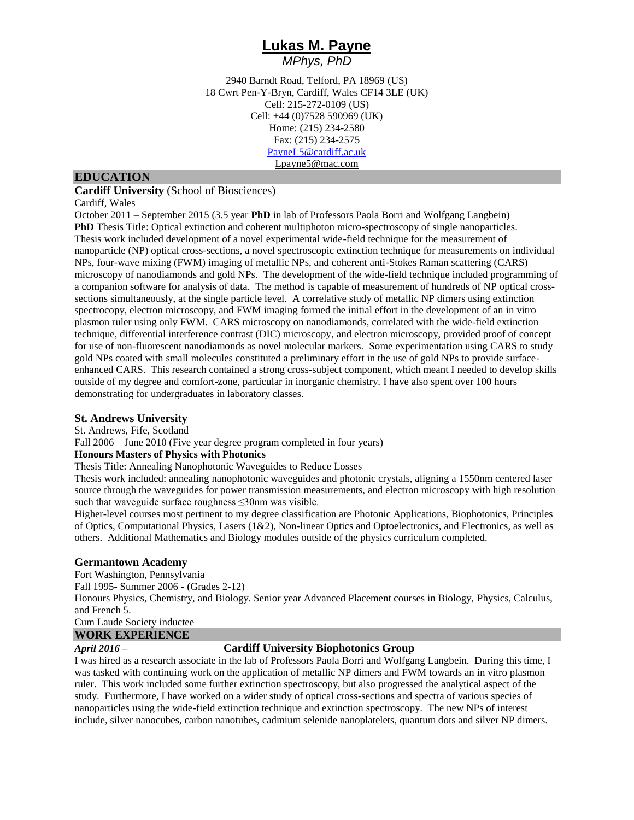## **Lukas M. Payne** *MPhys, PhD*

2940 Barndt Road, Telford, PA 18969 (US) 18 Cwrt Pen-Y-Bryn, Cardiff, Wales CF14 3LE (UK) Cell: 215-272-0109 (US) Cell: +44 (0)7528 590969 (UK) Home: (215) 234-2580 Fax: (215) 234-2575 [PayneL5@cardiff.ac.uk](mailto:PayneL5@cardiff.ac.uk) Lpayne5@mac.com

### **EDUCATION**

**Cardiff University** (School of Biosciences)

Cardiff, Wales

October 2011 – September 2015 (3.5 year **PhD** in lab of Professors Paola Borri and Wolfgang Langbein) **PhD** Thesis Title: Optical extinction and coherent multiphoton micro-spectroscopy of single nanoparticles. Thesis work included development of a novel experimental wide-field technique for the measurement of nanoparticle (NP) optical cross-sections, a novel spectroscopic extinction technique for measurements on individual NPs, four-wave mixing (FWM) imaging of metallic NPs, and coherent anti-Stokes Raman scattering (CARS) microscopy of nanodiamonds and gold NPs. The development of the wide-field technique included programming of a companion software for analysis of data. The method is capable of measurement of hundreds of NP optical crosssections simultaneously, at the single particle level. A correlative study of metallic NP dimers using extinction spectrocopy, electron microscopy, and FWM imaging formed the initial effort in the development of an in vitro plasmon ruler using only FWM. CARS microscopy on nanodiamonds, correlated with the wide-field extinction technique, differential interference contrast (DIC) microscopy, and electron microscopy, provided proof of concept for use of non-fluorescent nanodiamonds as novel molecular markers. Some experimentation using CARS to study gold NPs coated with small molecules constituted a preliminary effort in the use of gold NPs to provide surfaceenhanced CARS. This research contained a strong cross-subject component, which meant I needed to develop skills outside of my degree and comfort-zone, particular in inorganic chemistry. I have also spent over 100 hours demonstrating for undergraduates in laboratory classes.

#### **St. Andrews University**

St. Andrews, Fife, Scotland

Fall 2006 – June 2010 (Five year degree program completed in four years)

#### **Honours Masters of Physics with Photonics**

Thesis Title: Annealing Nanophotonic Waveguides to Reduce Losses

Thesis work included: annealing nanophotonic waveguides and photonic crystals, aligning a 1550nm centered laser source through the waveguides for power transmission measurements, and electron microscopy with high resolution such that waveguide surface roughness ≤30nm was visible.

Higher-level courses most pertinent to my degree classification are Photonic Applications, Biophotonics, Principles of Optics, Computational Physics, Lasers (1&2), Non-linear Optics and Optoelectronics, and Electronics, as well as others. Additional Mathematics and Biology modules outside of the physics curriculum completed.

#### **Germantown Academy**

Fort Washington, Pennsylvania

Fall 1995- Summer 2006 **-** (Grades 2-12)

Honours Physics, Chemistry, and Biology. Senior year Advanced Placement courses in Biology, Physics, Calculus, and French 5.

Cum Laude Society inductee

#### **WORK EXPERIENCE**

#### *April 2016 –* **Cardiff University Biophotonics Group**

I was hired as a research associate in the lab of Professors Paola Borri and Wolfgang Langbein. During this time, I was tasked with continuing work on the application of metallic NP dimers and FWM towards an in vitro plasmon ruler. This work included some further extinction spectroscopy, but also progressed the analytical aspect of the study. Furthermore, I have worked on a wider study of optical cross-sections and spectra of various species of nanoparticles using the wide-field extinction technique and extinction spectroscopy. The new NPs of interest include, silver nanocubes, carbon nanotubes, cadmium selenide nanoplatelets, quantum dots and silver NP dimers.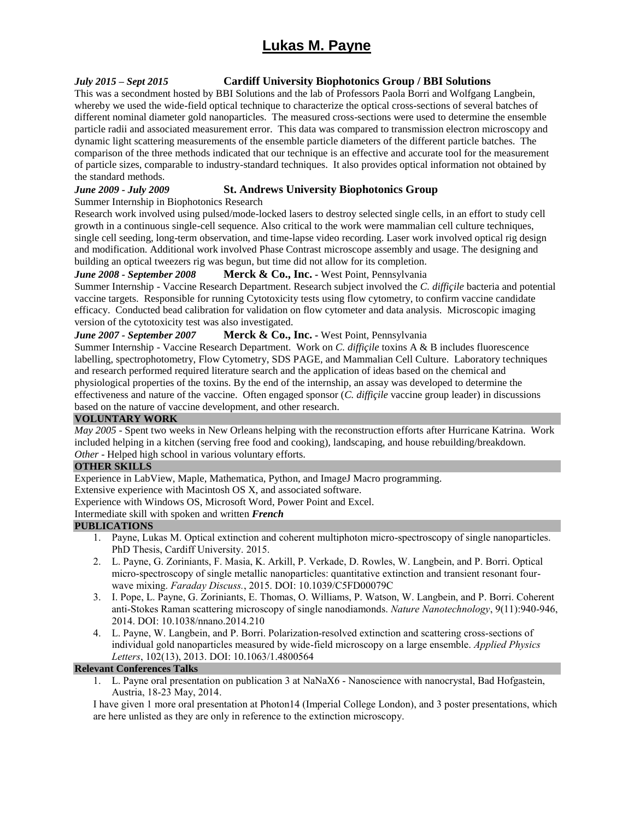#### *July 2015 – Sept 2015* **Cardiff University Biophotonics Group / BBI Solutions**

This was a secondment hosted by BBI Solutions and the lab of Professors Paola Borri and Wolfgang Langbein, whereby we used the wide-field optical technique to characterize the optical cross-sections of several batches of different nominal diameter gold nanoparticles. The measured cross-sections were used to determine the ensemble particle radii and associated measurement error. This data was compared to transmission electron microscopy and dynamic light scattering measurements of the ensemble particle diameters of the different particle batches. The comparison of the three methods indicated that our technique is an effective and accurate tool for the measurement of particle sizes, comparable to industry-standard techniques. It also provides optical information not obtained by the standard methods.

#### *June 2009 - July 2009* **St. Andrews University Biophotonics Group**

#### Summer Internship in Biophotonics Research

Research work involved using pulsed/mode-locked lasers to destroy selected single cells, in an effort to study cell growth in a continuous single-cell sequence. Also critical to the work were mammalian cell culture techniques, single cell seeding, long-term observation, and time-lapse video recording. Laser work involved optical rig design and modification. Additional work involved Phase Contrast microscope assembly and usage. The designing and building an optical tweezers rig was begun, but time did not allow for its completion.

#### *June 2008 - September 2008* **Merck & Co., Inc. -** West Point, Pennsylvania

Summer Internship - Vaccine Research Department. Research subject involved the *C. diffiçile* bacteria and potential vaccine targets. Responsible for running Cytotoxicity tests using flow cytometry, to confirm vaccine candidate efficacy. Conducted bead calibration for validation on flow cytometer and data analysis. Microscopic imaging version of the cytotoxicity test was also investigated.

#### *June 2007 - September 2007* **Merck & Co., Inc. -** West Point, Pennsylvania

Summer Internship - Vaccine Research Department. Work on *C. diffiçile* toxins A & B includes fluorescence labelling, spectrophotometry, Flow Cytometry, SDS PAGE, and Mammalian Cell Culture. Laboratory techniques and research performed required literature search and the application of ideas based on the chemical and physiological properties of the toxins. By the end of the internship, an assay was developed to determine the effectiveness and nature of the vaccine. Often engaged sponsor (*C. diffiçile* vaccine group leader) in discussions based on the nature of vaccine development, and other research.

#### **VOLUNTARY WORK**

*May 2005* - Spent two weeks in New Orleans helping with the reconstruction efforts after Hurricane Katrina. Work included helping in a kitchen (serving free food and cooking), landscaping, and house rebuilding/breakdown. *Other* - Helped high school in various voluntary efforts.

#### **OTHER SKILLS**

Experience in LabView, Maple, Mathematica, Python, and ImageJ Macro programming.

Extensive experience with Macintosh OS X, and associated software.

Experience with Windows OS, Microsoft Word, Power Point and Excel.

Intermediate skill with spoken and written *French*

#### **PUBLICATIONS**

- 1. Payne, Lukas M. Optical extinction and coherent multiphoton micro-spectroscopy of single nanoparticles. PhD Thesis, Cardiff University. 2015.
- 2. L. Payne, G. Zoriniants, F. Masia, K. Arkill, P. Verkade, D. Rowles, W. Langbein, and P. Borri. Optical micro-spectroscopy of single metallic nanoparticles: quantitative extinction and transient resonant fourwave mixing. *Faraday Discuss.*, 2015. DOI: 10.1039/C5FD00079C
- 3. I. Pope, L. Payne, G. Zoriniants, E. Thomas, O. Williams, P. Watson, W. Langbein, and P. Borri. Coherent anti-Stokes Raman scattering microscopy of single nanodiamonds. *Nature Nanotechnology*, 9(11):940-946, 2014. DOI: 10.1038/nnano.2014.210
- 4. L. Payne, W. Langbein, and P. Borri. Polarization-resolved extinction and scattering cross-sections of individual gold nanoparticles measured by wide-field microscopy on a large ensemble. *Applied Physics Letters*, 102(13), 2013. DOI: 10.1063/1.4800564

#### **Relevant Conferences Talks**

1. L. Payne oral presentation on publication 3 at NaNaX6 - Nanoscience with nanocrystal, Bad Hofgastein, Austria, 18-23 May, 2014.

I have given 1 more oral presentation at Photon14 (Imperial College London), and 3 poster presentations, which are here unlisted as they are only in reference to the extinction microscopy.